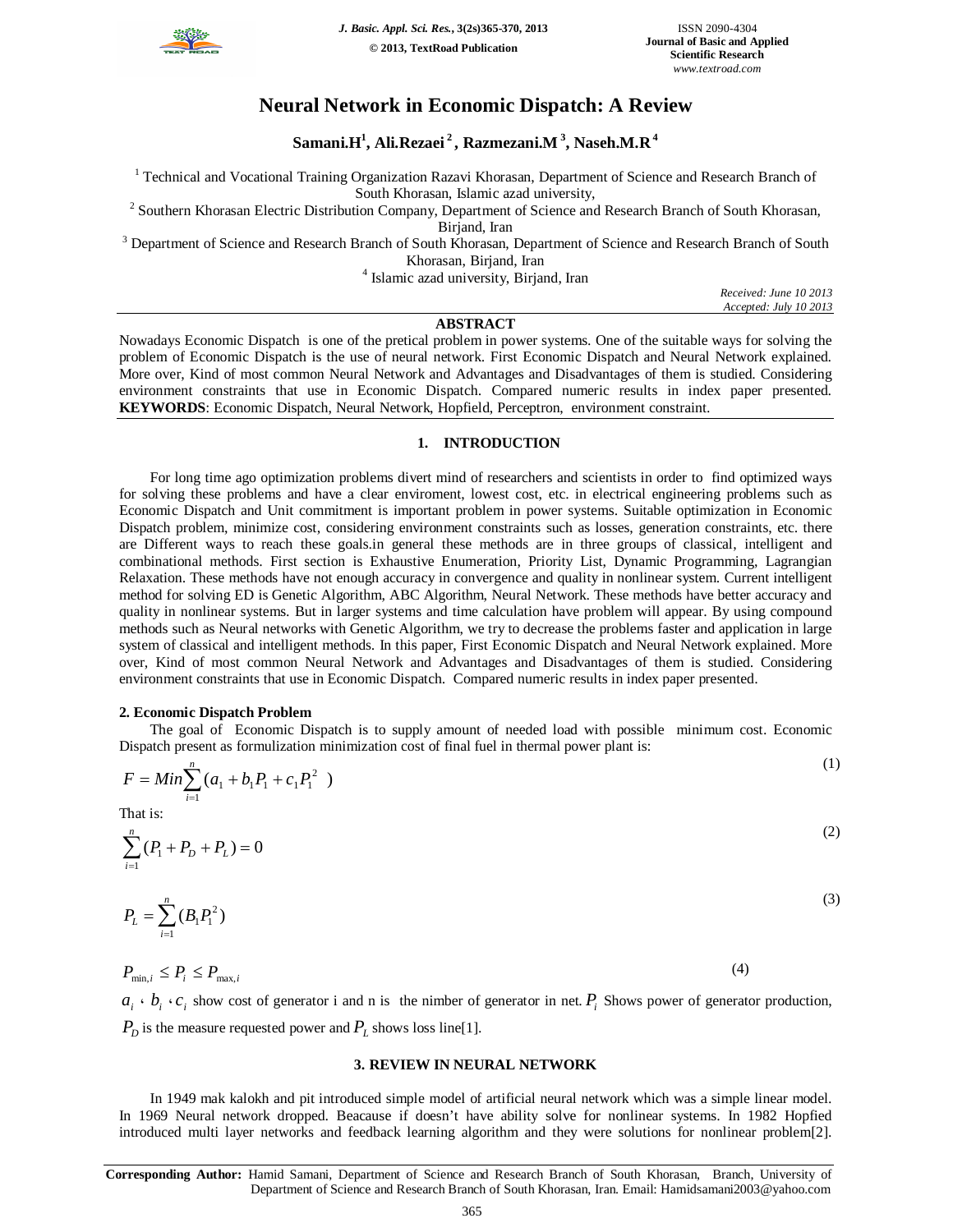

# **Neural Network in Economic Dispatch: A Review**

**Samani.H<sup>1</sup> , Ali.Rezaei <sup>2</sup> , Razmezani.M <sup>3</sup> , Naseh.M.R 4**

<sup>1</sup> Technical and Vocational Training Organization Razavi Khorasan, Department of Science and Research Branch of South Khorasan, Islamic azad university,

<sup>2</sup> Southern Khorasan Electric Distribution Company, Department of Science and Research Branch of South Khorasan, Birjand, Iran

<sup>3</sup> Department of Science and Research Branch of South Khorasan, Department of Science and Research Branch of South Khorasan, Birjand, Iran

4 Islamic azad university, Birjand, Iran

*Received: June 10 2013 Accepted: July 10 2013*

# **ABSTRACT**

Nowadays Economic Dispatch is one of the pretical problem in power systems. One of the suitable ways for solving the problem of Economic Dispatch is the use of neural network. First Economic Dispatch and Neural Network explained. More over, Kind of most common Neural Network and Advantages and Disadvantages of them is studied. Considering environment constraints that use in Economic Dispatch. Compared numeric results in index paper presented. **KEYWORDS**: Economic Dispatch, Neural Network, Hopfield, Perceptron, environment constraint.

## **1. INTRODUCTION**

For long time ago optimization problems divert mind of researchers and scientists in order to find optimized ways for solving these problems and have a clear enviroment, lowest cost, etc. in electrical engineering problems such as Economic Dispatch and Unit commitment is important problem in power systems. Suitable optimization in Economic Dispatch problem, minimize cost, considering environment constraints such as losses, generation constraints, etc. there are Different ways to reach these goals.in general these methods are in three groups of classical, intelligent and combinational methods. First section is Exhaustive Enumeration, Priority List, Dynamic Programming, Lagrangian Relaxation. These methods have not enough accuracy in convergence and quality in nonlinear system. Current intelligent method for solving ED is Genetic Algorithm, ABC Algorithm, Neural Network. These methods have better accuracy and quality in nonlinear systems. But in larger systems and time calculation have problem will appear. By using compound methods such as Neural networks with Genetic Algorithm, we try to decrease the problems faster and application in large system of classical and intelligent methods. In this paper, First Economic Dispatch and Neural Network explained. More over, Kind of most common Neural Network and Advantages and Disadvantages of them is studied. Considering environment constraints that use in Economic Dispatch. Compared numeric results in index paper presented.

## **2. Economic Dispatch Problem**

The goal of Economic Dispatch is to supply amount of needed load with possible minimum cost. Economic Dispatch present as formulization minimization cost of final fuel in thermal power plant is:

$$
F = Min \sum_{i=1}^{n} (a_1 + b_1 P_1 + c_1 P_1^2)
$$
\n(1)

That is:

$$
\sum_{i=1}^{n} (P_1 + P_2 + P_L) = 0
$$
\n(2)

$$
P_L = \sum_{i=1}^{n} (B_i P_1^2)
$$
 (3)

 $P_{\min,i} \leq P_i \leq P_{\max,i}$  (4)

 $a_i \cdot b_i \cdot c_i$  show cost of generator i and n is the nimber of generator in net.  $P_i$  Shows power of generator production,  $P_D$  is the measure requested power and  $P_L$  shows loss line[1].

#### **3. REVIEW IN NEURAL NETWORK**

In 1949 mak kalokh and pit introduced simple model of artificial neural network which was a simple linear model. In 1969 Neural network dropped. Beacause if doesn't have ability solve for nonlinear systems. In 1982 Hopfied introduced multi layer networks and feedback learning algorithm and they were solutions for nonlinear problem[2].

**Corresponding Author:** Hamid Samani, Department of Science and Research Branch of South Khorasan, Branch, University of Department of Science and Research Branch of South Khorasan, Iran. Email: Hamidsamani2003@yahoo.com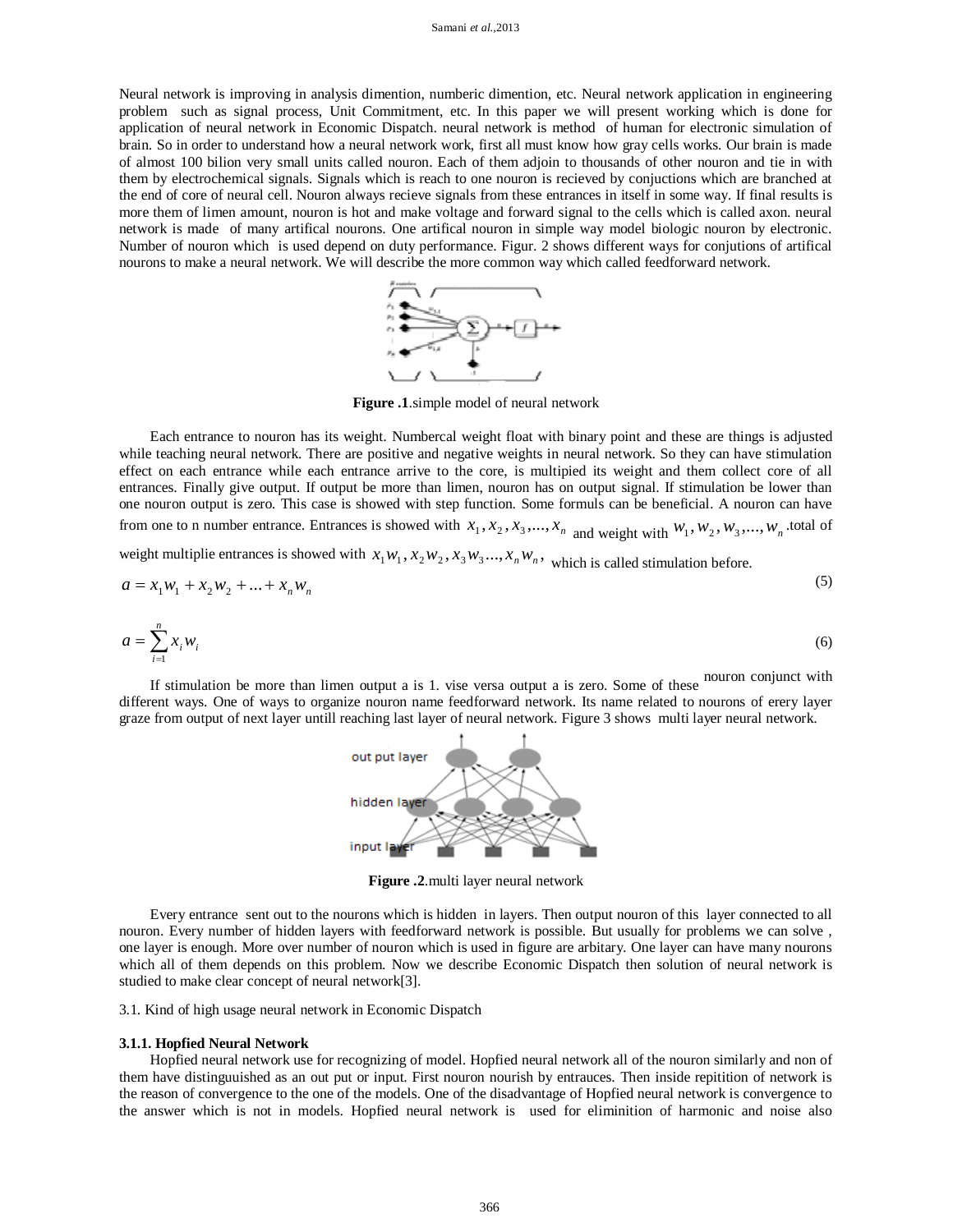#### Samani *et al.,*2013

Neural network is improving in analysis dimention, numberic dimention, etc. Neural network application in engineering problem such as signal process, Unit Commitment, etc. In this paper we will present working which is done for application of neural network in Economic Dispatch. neural network is method of human for electronic simulation of brain. So in order to understand how a neural network work, first all must know how gray cells works. Our brain is made of almost 100 bilion very small units called nouron. Each of them adjoin to thousands of other nouron and tie in with them by electrochemical signals. Signals which is reach to one nouron is recieved by conjuctions which are branched at the end of core of neural cell. Nouron always recieve signals from these entrances in itself in some way. If final results is more them of limen amount, nouron is hot and make voltage and forward signal to the cells which is called axon. neural network is made of many artifical nourons. One artifical nouron in simple way model biologic nouron by electronic. Number of nouron which is used depend on duty performance. Figur. 2 shows different ways for conjutions of artifical nourons to make a neural network. We will describe the more common way which called feedforward network.



**Figure .1**.simple model of neural network

Each entrance to nouron has its weight. Numbercal weight float with binary point and these are things is adjusted while teaching neural network. There are positive and negative weights in neural network. So they can have stimulation effect on each entrance while each entrance arrive to the core, is multipied its weight and them collect core of all entrances. Finally give output. If output be more than limen, nouron has on output signal. If stimulation be lower than one nouron output is zero. This case is showed with step function. Some formuls can be beneficial. A nouron can have from one to n number entrance. Entrances is showed with  $x_1, x_2, x_3, \dots, x_n$  and weight with  $w_1, w_2, w_3, \dots, w_n$  total of

weight multiplie entrances is showed with  $x_1w_1, x_2w_2, x_3w_3...$ ,  $x_nw_n$ , which is called stimulation before.

$$
a = x_1 w_1 + x_2 w_2 + \dots + x_n w_n
$$
  
\n
$$
a = \sum_{i=1}^{n} x_i w_i
$$
\n(6)

 $(5)$ 

If stimulation be more than limen output a is 1. 
$$
i = 1
$$
.  $j = 1$ .  $j = 1$ .  $j = 1$ .  $j = 1$ .  $j = 1$ .  $j = 1$ .  $j = 1$ .  $j = 1$ .  $j = 1$ .  $j = 1$ .  $j = 1$ .  $j = 1$ .  $j = 1$ .  $j = 1$ .  $j = 1$ .  $j = 1$ .  $j = 1$ .  $j = 1$ .  $j = 1$ .  $j = 1$ .  $j = 1$ .  $j = 1$ .  $j = 1$ .  $j = 1$ .  $j = 1$ .  $j = 1$ .  $j = 1$ .  $j = 1$ .  $j = 1$ .  $j = 1$ .  $j = 1$ .  $j = 1$ .  $j = 1$ .  $j = 1$ .  $j = 1$ .  $j = 1$ .  $j = 1$ .  $j = 1$ .  $j = 1$ .  $j = 1$ .  $j = 1$ .  $j = 1$ .  $j = 1$ .  $j = 1$ .  $j = 1$ .  $j = 1$ .  $j = 1$ .  $j = 1$ .  $j = 1$ .  $j = 1$ .  $j = 1$ .  $j = 1$ .  $j = 1$ .  $j = 1$ .  $j = 1$ .  $j = 1$ .  $j = 1$ 

different ways. One of ways to organize nouron name feedforward network. Its name related to nourons of erery layer graze from output of next layer untill reaching last layer of neural network. Figure 3 shows multi layer neural network.



**Figure .2**.multi layer neural network

Every entrance sent out to the nourons which is hidden in layers. Then output nouron of this layer connected to all nouron. Every number of hidden layers with feedforward network is possible. But usually for problems we can solve , one layer is enough. More over number of nouron which is used in figure are arbitary. One layer can have many nourons which all of them depends on this problem. Now we describe Economic Dispatch then solution of neural network is studied to make clear concept of neural network[3].

3.1. Kind of high usage neural network in Economic Dispatch

#### **3.1.1. Hopfied Neural Network**

Hopfied neural network use for recognizing of model. Hopfied neural network all of the nouron similarly and non of them have distinguuished as an out put or input. First nouron nourish by entrauces. Then inside repitition of network is the reason of convergence to the one of the models. One of the disadvantage of Hopfied neural network is convergence to the answer which is not in models. Hopfied neural network is used for eliminition of harmonic and noise also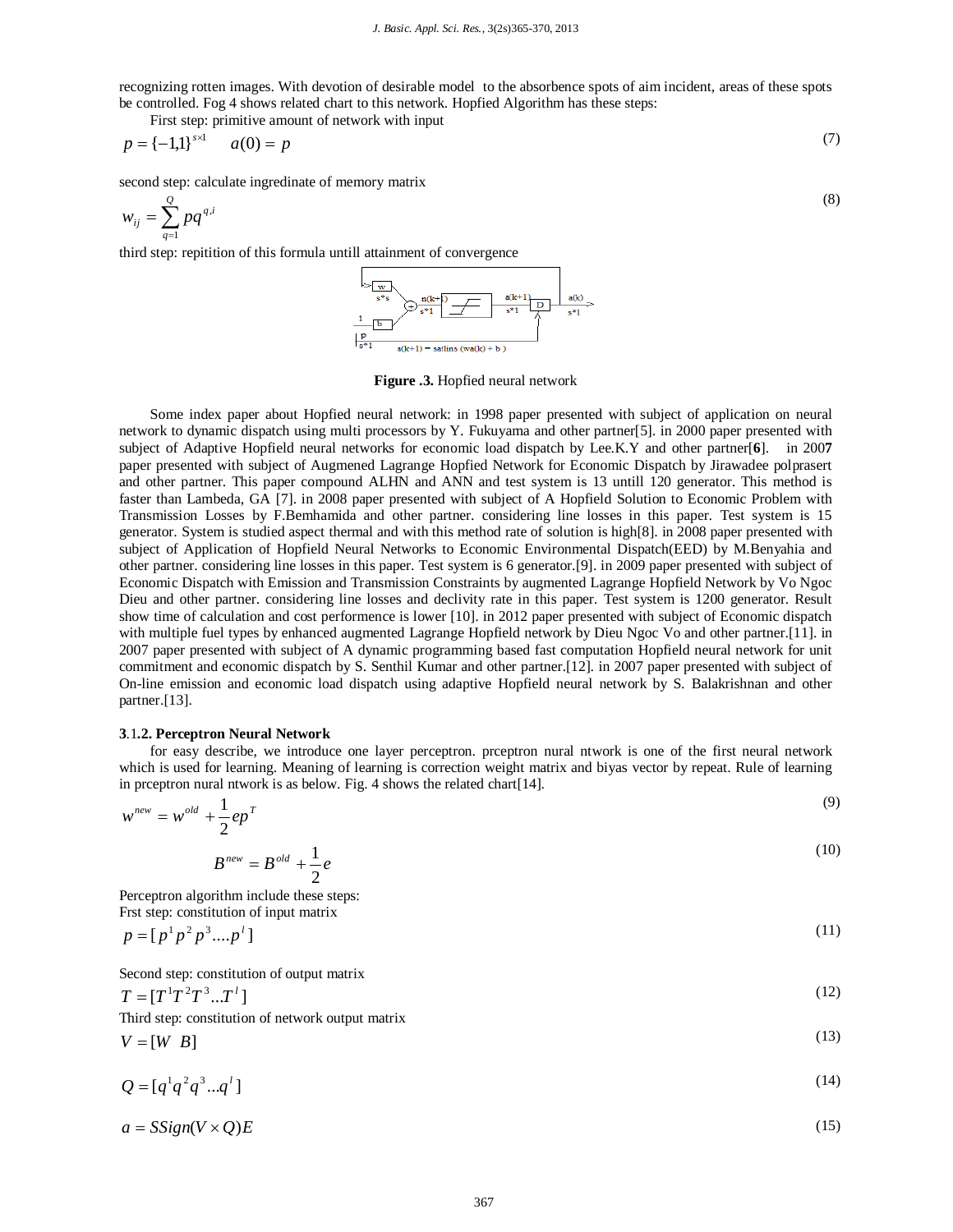recognizing rotten images. With devotion of desirable model to the absorbence spots of aim incident, areas of these spots be controlled. Fog 4 shows related chart to this network. Hopfied Algorithm has these steps:

First step: primitive amount of network with input

$$
p = \{-1,1\}^{s \times 1} \qquad a(0) = p \tag{7}
$$

second step: calculate ingredinate of memory matrix

$$
w_{ij} = \sum_{q=1}^{Q} pq^{q,i} \tag{8}
$$

third step: repitition of this formula untill attainment of convergence



#### **Figure .3.** Hopfied neural network

Some index paper about Hopfied neural network: in 1998 paper presented with subject of application on neural network to dynamic dispatch using multi processors by Y. Fukuyama and other partner[5]. in 2000 paper presented with subject of Adaptive Hopfield neural networks for economic load dispatch by Lee.K.Y and other partner[**6**].in 200**7** paper presented with subject of Augmened Lagrange Hopfied Network for Economic Dispatch by Jirawadee polprasert and other partner. This paper compound ALHN and ANN and test system is 13 untill 120 generator. This method is faster than Lambeda, GA [7]. in 2008 paper presented with subject of A Hopfield Solution to Economic Problem with Transmission Losses by F.Bemhamida and other partner. considering line losses in this paper. Test system is 15 generator. System is studied aspect thermal and with this method rate of solution is high[8]. in 2008 paper presented with subject of Application of Hopfield Neural Networks to Economic Environmental Dispatch(EED) by M.Benyahia and other partner. considering line losses in this paper. Test system is 6 generator.[9]. in 2009 paper presented with subject of Economic Dispatch with Emission and Transmission Constraints by augmented Lagrange Hopfield Network by Vo Ngoc Dieu and other partner. considering line losses and declivity rate in this paper. Test system is 1200 generator. Result show time of calculation and cost performence is lower [10]. in 2012 paper presented with subject of Economic dispatch with multiple fuel types by enhanced augmented Lagrange Hopfield network by Dieu Ngoc Vo and other partner.[11]. in 2007 paper presented with subject of A dynamic programming based fast computation Hopfield neural network for unit commitment and economic dispatch by S. Senthil Kumar and other partner.[12]. in 2007 paper presented with subject of On-line emission and economic load dispatch using adaptive Hopfield neural network by S. Balakrishnan and other partner.[13].

#### **3**.1**.2. Perceptron Neural Network**

for easy describe, we introduce one layer perceptron. prceptron nural ntwork is one of the first neural network which is used for learning. Meaning of learning is correction weight matrix and biyas vector by repeat. Rule of learning in prceptron nural ntwork is as below. Fig. 4 shows the related chart[14].

$$
w^{new} = w^{old} + \frac{1}{2}ep^{T}
$$
\n
$$
P^{new} = p^{old} + \frac{1}{2}ep^{T}
$$
\n(9)

$$
B^{new} = B^{old} + \frac{1}{2}e
$$

Perceptron algorithm include these steps: Frst step: constitution of input matrix

$$
p = [p^1 p^2 p^3 .... p^l]
$$
 (11)

Second step: constitution of output matrix

$$
T = [T^1 T^2 T^3 ... T^1]
$$
\n(12)

Third step: constitution of network output matrix

$$
V = [W \quad B] \tag{13}
$$

$$
Q = [q^1 q^2 q^3 ... q^l] \tag{14}
$$

$$
a = SSign(V \times Q)E \tag{15}
$$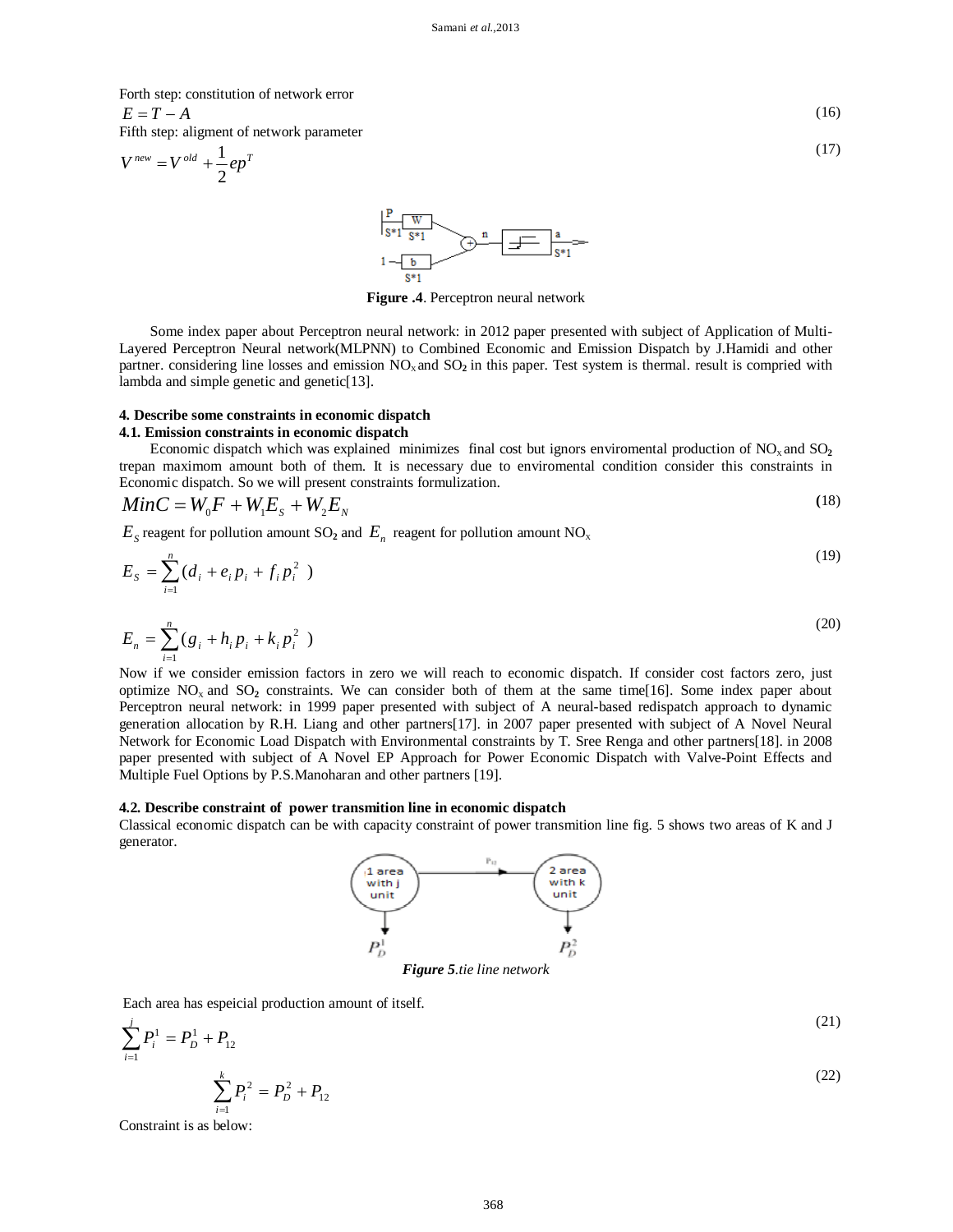Forth step: constitution of network error

 $E = T - A$  (16) Fifth step: aligment of network parameter

$$
V^{new} = V^{old} + \frac{1}{2}ep^{T}
$$
 (17)



**Figure .4**. Perceptron neural network

Some index paper about Perceptron neural network: in 2012 paper presented with subject of Application of Multi-Layered Perceptron Neural network(MLPNN) to Combined Economic and Emission Dispatch by J.Hamidi and other partner. considering line losses and emission  $NO<sub>x</sub>$  and  $SO<sub>2</sub>$  in this paper. Test system is thermal. result is compried with lambda and simple genetic and genetic[13].

#### **4. Describe some constraints in economic dispatch**

## **4.1. Emission constraints in economic dispatch**

Economic dispatch which was explained minimizes final cost but ignors enviromental production of  $NO_x$  and  $SO_2$ trepan maximom amount both of them. It is necessary due to enviromental condition consider this constraints in Economic dispatch. So we will present constraints formulization.

$$
MinC = W0F + W1Es + W2EN
$$
\n(18)

 $E<sub>S</sub>$  reagent for pollution amount SO<sub>2</sub> and  $E<sub>n</sub>$  reagent for pollution amount NO<sub>x</sub>

$$
E_{S} = \sum_{i=1}^{n} (d_{i} + e_{i} p_{i} + f_{i} p_{i}^{2})
$$
\n(19)

$$
E_n = \sum_{i=1}^n (g_i + h_i p_i + k_i p_i^2)
$$
 (20)

Now if we consider emission factors in zero we will reach to economic dispatch. If consider cost factors zero, just optimize  $NO<sub>x</sub>$  and  $SO<sub>2</sub>$  constraints. We can consider both of them at the same time[16]. Some index paper about Perceptron neural network: in 1999 paper presented with subject of A neural-based redispatch approach to dynamic generation allocation by R.H. Liang and other partners[17]. in 2007 paper presented with subject of A Novel Neural Network for Economic Load Dispatch with Environmental constraints by T. Sree Renga and other partners[18]. in 2008 paper presented with subject of A Novel EP Approach for Power Economic Dispatch with Valve-Point Effects and Multiple Fuel Options by P.S.Manoharan and other partners [19].

#### **4.2. Describe constraint of power transmition line in economic dispatch**

Classical economic dispatch can be with capacity constraint of power transmition line fig. 5 shows two areas of K and J generator.



Each area has espeicial production amount of itself.

$$
\sum_{i=1}^{j} P_i^1 = P_D^1 + P_{12}
$$
\n
$$
\sum_{i=1}^{k} P_i^2 = P_D^2 + P_{12}
$$
\n(22)

(21)

Constraint is as below: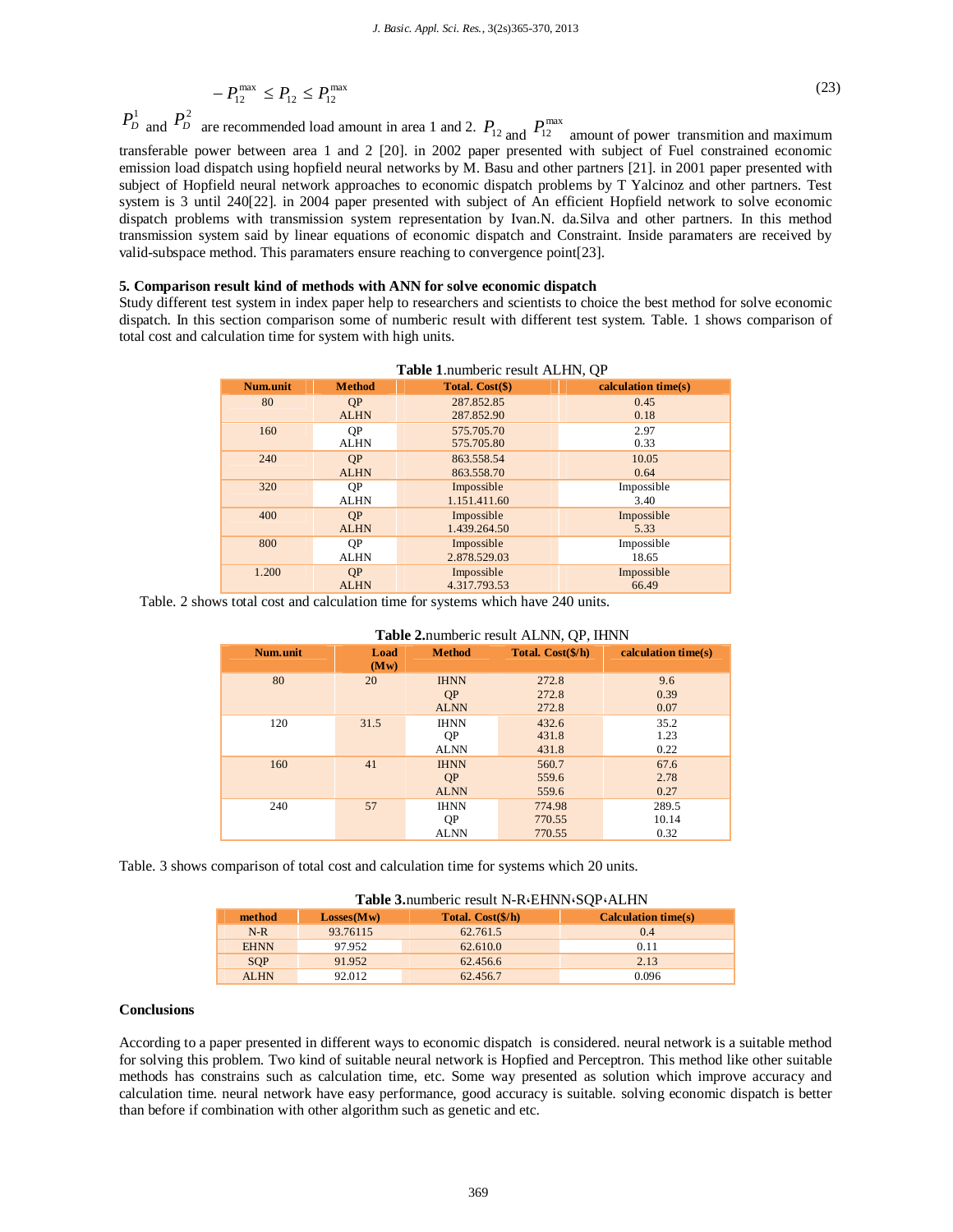$$
-P_{12}^{\max} \le P_{12} \le P_{12}^{\max} \tag{23}
$$

 $P_D^1$  and  $P_D^2$  are recommended load amount in area 1 and 2.  $P_{12}$  and  $P_{12}^{\text{max}}$  amount of power transmition and maximum transferable power between area 1 and 2 [20]. in 2002 paper presented with subject of Fuel constrained economic emission load dispatch using hopfield neural networks by M. Basu and other partners [21]. in 2001 paper presented with subject of Hopfield neural network approaches to economic dispatch problems by T Yalcinoz and other partners. Test system is 3 until 240[22]. in 2004 paper presented with subject of An efficient Hopfield network to solve economic dispatch problems with transmission system representation by Ivan.N. da.Silva and other partners. In this method transmission system said by linear equations of economic dispatch and Constraint. Inside paramaters are received by valid-subspace method. This paramaters ensure reaching to convergence point[23].

#### **5. Comparison result kind of methods with ANN for solve economic dispatch**

Study different test system in index paper help to researchers and scientists to choice the best method for solve economic dispatch. In this section comparison some of numberic result with different test system. Table. 1 shows comparison of total cost and calculation time for system with high units.

| <b>Table 1.</b> Humberly result ALTIN, OF |               |                 |                     |  |
|-------------------------------------------|---------------|-----------------|---------------------|--|
| Num.unit                                  | <b>Method</b> | Total. Cost(\$) | calculation time(s) |  |
| 80                                        | <b>OP</b>     | 287.852.85      | 0.45                |  |
|                                           | <b>ALHN</b>   | 287.852.90      | 0.18                |  |
| 160                                       | <b>OP</b>     | 575,705.70      | 2.97                |  |
|                                           | <b>ALHN</b>   | 575.705.80      | 0.33                |  |
| 240                                       | QP            | 863.558.54      | 10.05               |  |
|                                           | <b>ALHN</b>   | 863.558.70      | 0.64                |  |
| 320                                       | QP            | Impossible      | Impossible          |  |
|                                           | <b>ALHN</b>   | 1.151.411.60    | 3.40                |  |
| 400                                       | <b>OP</b>     | Impossible      | Impossible          |  |
|                                           | <b>ALHN</b>   | 1.439.264.50    | 5.33                |  |
| 800                                       | <b>OP</b>     | Impossible      | Impossible          |  |
|                                           | <b>ALHN</b>   | 2.878.529.03    | 18.65               |  |
| 1.200                                     | <b>OP</b>     | Impossible      | Impossible          |  |
|                                           | <b>ALHN</b>   | 4.317.793.53    | 66.49               |  |

|  | Table 1.numberic result ALHN, QP |  |  |  |
|--|----------------------------------|--|--|--|
|--|----------------------------------|--|--|--|

Table. 2 shows total cost and calculation time for systems which have 240 units.

| <b>Table 2.</b> Humbert result ALINN, OF, HINN |              |               |                   |                     |
|------------------------------------------------|--------------|---------------|-------------------|---------------------|
| Num.unit                                       | Load<br>(Mw) | <b>Method</b> | Total. Cost(\$/h) | calculation time(s) |
| 80                                             | 20           | <b>IHNN</b>   | 272.8             | 9.6                 |
|                                                |              | QP            | 272.8             | 0.39                |
|                                                |              | <b>ALNN</b>   | 272.8             | 0.07                |
| 120                                            | 31.5         | <b>IHNN</b>   | 432.6             | 35.2                |
|                                                |              | QP            | 431.8             | 1.23                |
|                                                |              | <b>ALNN</b>   | 431.8             | 0.22                |
| 160                                            | 41           | <b>IHNN</b>   | 560.7             | 67.6                |
|                                                |              | QP            | 559.6             | 2.78                |
|                                                |              | <b>ALNN</b>   | 559.6             | 0.27                |
| 240                                            | 57           | <b>IHNN</b>   | 774.98            | 289.5               |
|                                                |              | QP            | 770.55            | 10.14               |
|                                                |              | <b>ALNN</b>   | 770.55            | 0.32                |

#### Table 2. numberic result ALNN, OP, IHNN

Table. 3 shows comparison of total cost and calculation time for systems which 20 units.

| Table 3.numberic result N-RGEHNNGSQPGALHN |            |                   |                            |  |  |  |
|-------------------------------------------|------------|-------------------|----------------------------|--|--|--|
| method                                    | Losses(Mw) | Total. Cost(\$/h) | <b>Calculation time(s)</b> |  |  |  |
| $N-R$                                     | 93.76115   | 62.761.5          | 0.4                        |  |  |  |
| <b>EHNN</b>                               | 97.952     | 62.610.0          | 0.11                       |  |  |  |
| <b>SOP</b>                                | 91.952     | 62.456.6          | 2.13                       |  |  |  |
| AL <sub>HN</sub>                          | 92.012     | 62.456.7          | 0.096                      |  |  |  |

## **Conclusions**

According to a paper presented in different ways to economic dispatch is considered. neural network is a suitable method for solving this problem. Two kind of suitable neural network is Hopfied and Perceptron. This method like other suitable methods has constrains such as calculation time, etc. Some way presented as solution which improve accuracy and calculation time. neural network have easy performance, good accuracy is suitable. solving economic dispatch is better than before if combination with other algorithm such as genetic and etc.